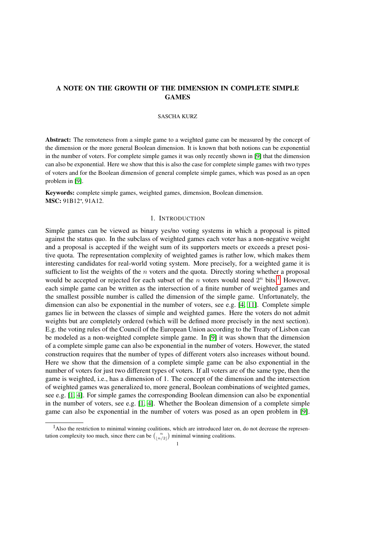# A NOTE ON THE GROWTH OF THE DIMENSION IN COMPLETE SIMPLE GAMES

### SASCHA KURZ

Abstract: The remoteness from a simple game to a weighted game can be measured by the concept of the dimension or the more general Boolean dimension. It is known that both notions can be exponential in the number of voters. For complete simple games it was only recently shown in [\[9\]](#page-8-0) that the dimension can also be exponential. Here we show that this is also the case for complete simple games with two types of voters and for the Boolean dimension of general complete simple games, which was posed as an open problem in [\[9\]](#page-8-0).

Keywords: complete simple games, weighted games, dimension, Boolean dimension. MSC: 91B12<sup>\*</sup>, 91A12.

# 1. INTRODUCTION

Simple games can be viewed as binary yes/no voting systems in which a proposal is pitted against the status quo. In the subclass of weighted games each voter has a non-negative weight and a proposal is accepted if the weight sum of its supporters meets or exceeds a preset positive quota. The representation complexity of weighted games is rather low, which makes them interesting candidates for real-world voting system. More precisely, for a weighted game it is sufficient to list the weights of the  $n$  voters and the quota. Directly storing whether a proposal would be accepted or rejected for each subset of the *n* voters would need  $2^n$  bits.<sup>[1](#page-0-0)</sup> However, each simple game can be written as the intersection of a finite number of weighted games and the smallest possible number is called the dimension of the simple game. Unfortunately, the dimension can also be exponential in the number of voters, see e.g. [\[4,](#page-8-1) [11\]](#page-8-2). Complete simple games lie in between the classes of simple and weighted games. Here the voters do not admit weights but are completely ordered (which will be defined more precisely in the next section). E.g. the voting rules of the Council of the European Union according to the Treaty of Lisbon can be modeled as a non-weighted complete simple game. In [\[9\]](#page-8-0) it was shown that the dimension of a complete simple game can also be exponential in the number of voters. However, the stated construction requires that the number of types of different voters also increases without bound. Here we show that the dimension of a complete simple game can be also exponential in the number of voters for just two different types of voters. If all voters are of the same type, then the game is weighted, i.e., has a dimension of 1. The concept of the dimension and the intersection of weighted games was generalized to, more general, Boolean combinations of weighted games, see e.g. [\[1,](#page-8-3) [4\]](#page-8-1). For simple games the corresponding Boolean dimension can also be exponential in the number of voters, see e.g. [\[1,](#page-8-3) [4\]](#page-8-1). Whether the Boolean dimension of a complete simple game can also be exponential in the number of voters was posed as an open problem in [\[9\]](#page-8-0).

<span id="page-0-0"></span> $<sup>1</sup>$ Also the restriction to minimal winning coalitions, which are introduced later on, do not decrease the represen-</sup> tation complexity too much, since there can be  $\binom{n}{\lfloor n/2 \rfloor}$  minimal winning coalitions.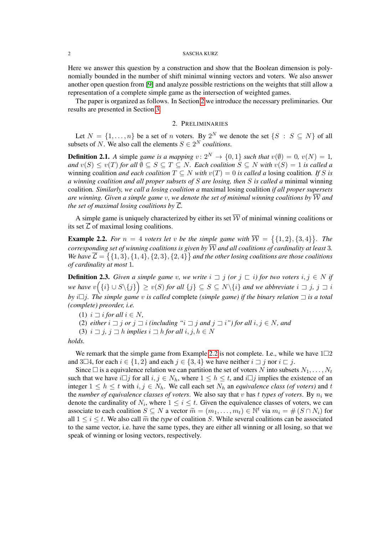#### 2 SASCHA KURZ

Here we answer this question by a construction and show that the Boolean dimension is polynomially bounded in the number of shift minimal winning vectors and voters. We also answer another open question from [\[9\]](#page-8-0) and analyze possible restrictions on the weights that still allow a representation of a complete simple game as the intersection of weighted games.

The paper is organized as follows. In Section [2](#page-1-0) we introduce the necessary preliminaries. Our results are presented in Section [3.](#page-4-0)

### 2. PRELIMINARIES

<span id="page-1-0"></span>Let  $N = \{1, \ldots, n\}$  be a set of n voters. By  $2^N$  we denote the set  $\{S : S \subseteq N\}$  of all subsets of N. We also call the elements  $S \in 2^N$  *coalitions*.

**Definition 2.1.** A simple *game is a mapping*  $v: 2^N \rightarrow \{0, 1\}$  *such that*  $v(\emptyset) = 0$ ,  $v(N) = 1$ , *and*  $v(S) \le v(T)$  *for all*  $\emptyset \subseteq S \subseteq T \subseteq N$ *. Each coalition*  $S \subseteq N$  *with*  $v(S) = 1$  *is called a* winning coalition *and each coalition*  $T \subseteq N$  *with*  $v(T) = 0$  *is called a* losing coalition. If S is *a winning coalition and all proper subsets of* S *are losing, then* S *is called a* minimal winning coalition*. Similarly, we call a losing coalition a* maximal losing coalition *if all proper supersets are winning. Given a simple game v, we denote the set of minimal winning coalitions by*  $\overline{W}$  and *the set of maximal losing coalitions by*  $\overline{\mathcal{L}}$ *.* 

A simple game is uniquely characterized by either its set  $\overline{W}$  of minimal winning coalitions or its set  $\overline{L}$  of maximal losing coalitions.

<span id="page-1-1"></span>**Example 2.2.** For  $n = 4$  voters let v be the simple game with  $\overline{W} = \{ \{1, 2\}, \{3, 4\} \}$ . The *corresponding set of winning coalitions is given by*  $\overline{W}$  *and all coalitions of cardinality at least* 3. We have  $\overline{\mathcal{L}} = \{ \{1,3\}, \{1,4\}, \{2,3\}, \{2,4\} \}$  and the other losing coalitions are those coalitions *of cardinality at most* 1*.*

**Definition 2.3.** *Given a simple game v, we write*  $i \supseteq j$  *(or*  $j \subseteq i$ *) for two voters*  $i, j \in N$  *if* we have  $v(\{i\} \cup S \setminus \{j\}) \geq v(S)$  for all  $\{j\} \subseteq S \subseteq N \setminus \{i\}$  and we abbreviate  $i \sqsupset j$ ,  $j \sqsupset i$ *by i* $\Box$ *j. The simple game v is called* complete *(simple game) if the binary relation*  $\Box$  *is a total (complete) preorder, i.e.*

(1)  $i \sqsupset i$  *for all*  $i \in N$ ,

(2) *either*  $i \rightrightarrows j$  *or*  $j \rightrightarrows i$  *(including "* $i \rightrightarrows j$  *and*  $j \rightrightarrows i$ ") for all  $i, j \in N$ , and

(3)  $i \sqsupset j$ ,  $j \sqsupset h$  *implies*  $i \sqsupset h$  *for all*  $i, j, h \in N$ 

*holds.*

We remark that the simple game from Example [2.2](#page-1-1) is not complete. I.e., while we have  $1\square 2$ and 3 $\Box$ 4, for each  $i \in \{1,2\}$  and each  $j \in \{3,4\}$  we have neither  $i \Box j$  nor  $i \Box j$ .

Since  $\square$  is a equivalence relation we can partition the set of voters N into subsets  $N_1, \ldots, N_t$ such that we have  $i\Box j$  for all  $i, j \in N_h$ , where  $1 \leq h \leq t$ , and  $i\Box j$  implies the existence of an integer  $1 \leq h \leq t$  with  $i, j \in N_h$ . We call each set  $N_h$  an *equivalence class (of voters)* and t the *number of equivalence classes of voters*. We also say that v has t types of voters. By  $n_i$  we denote the cardinality of  $N_i$ , where  $1 \leq i \leq t$ . Given the equivalence classes of voters, we can associate to each coalition  $S \subseteq N$  a vector  $\widetilde{m} = (m_1, \ldots, m_t) \in \mathbb{N}^t$  via  $m_i = \#(S \cap N_i)$  for all  $1 \le i \le t$ . We also call  $\widetilde{m}$  the type of coalition S. While several coalitions can be associated all  $1 \leq i \leq t$ . We also call  $\tilde{m}$  the *type* of coalition S. While several coalitions can be associated to the same vector, i.e. have the same types, they are either all winning or all losing, so that we speak of winning or losing vectors, respectively.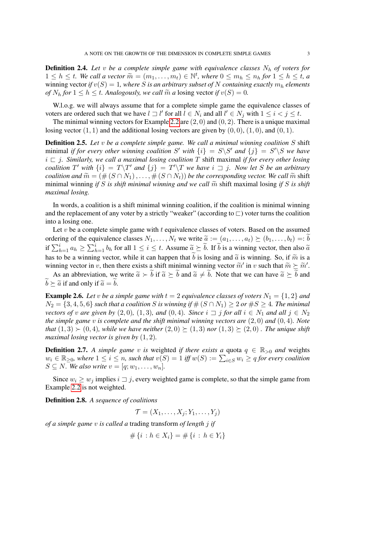**Definition 2.4.** Let v be a complete simple game with equivalence classes  $N_h$  of voters for  $1 \leq h \leq t$ . We call a vector  $\widetilde{m} = (m_1, \ldots, m_t) \in \mathbb{N}^t$ , where  $0 \leq m_h \leq n_h$  for  $1 \leq h \leq t$ , a<br>winning vector if  $v(S) = 1$ , where S is an arbitrary subset of N containing exactly  $m$ , elements winning vector *if*  $v(S) = 1$ *, where* S *is an arbitrary subset of* N *containing exactly*  $m_h$  *elements of*  $N_h$  *for*  $1 \le h \le t$ *. Analogously, we call*  $\widetilde{m}$  *a* losing vector *if*  $v(S) = 0$ *.* 

W.l.o.g. we will always assume that for a complete simple game the equivalence classes of voters are ordered such that we have  $l \sqsupset l'$  for all  $l \in N_i$  and all  $l' \in N_j$  with  $1 \leq i < j \leq t$ .

The minimal winning vectors for Example [2.2](#page-1-1) are  $(2, 0)$  and  $(0, 2)$ . There is a unique maximal losing vector  $(1, 1)$  and the additional losing vectors are given by  $(0, 0)$ ,  $(1, 0)$ , and  $(0, 1)$ .

Definition 2.5. *Let* v *be a complete simple game. We call a minimal winning coalition* S shift minimal *if for every other winning coalition* S' with  $\{i\} = S\backslash S'$  and  $\{j\} = S'\backslash S$  we have  $i \rightharpoonup j$ . Similarly, we call a maximal losing coalition T shift maximal *if for every other losing coalition*  $T'$  with  $\{i\} = T\T'$  *and*  $\{j\} = T'\T'$  *we have*  $i \rightrightarrows j$ *. Now let* S *be an arbitrary coalition and*  $\widetilde{m} = (\#(S \cap N_1), \ldots, \#(S \cap N_t))$  *be the corresponding vector. We call*  $\widetilde{m}$  shift minimal winning *if* S *is shift minimal winning and we call*  $\widetilde{m}$  shift maximal losing *if* S *is shift maximal losing.*

In words, a coalition is a shift minimal winning coalition, if the coalition is minimal winning and the replacement of any voter by a strictly "weaker" (according to  $\Box$ ) voter turns the coalition into a losing one.

Let  $v$  be a complete simple game with  $t$  equivalence classes of voters. Based on the assumed ordering of the equivalence classes  $N_1, \ldots, N_t$  we write  $\tilde{a} := (a_1, \ldots, a_t) \succeq (b_1, \ldots, b_t) =: b$ if  $\sum_{h=1}^{i} a_h \ge \sum_{h=1}^{i} b_h$  for all  $1 \le i \le t$ . Assume  $\widetilde{a} \succeq \widetilde{b}$ . If  $\widetilde{b}$  is a winning vector, then also  $\widetilde{a}$ has to be a winning vector, while it can happen that b is losing and  $\tilde{a}$  is winning. So, if  $\tilde{m}$  is a winning vector in v, then there exists a shift minimal winning vector  $\widetilde{m}'$  in v such that  $\widetilde{m} \succeq \widetilde{m}'$ .

As an abbreviation, we write  $\tilde{a} \succ \tilde{b}$  if  $\tilde{a} \succ \tilde{b}$  and  $\tilde{a} \neq \tilde{b}$ . Note that we can have  $\tilde{a} \succ \tilde{b}$  and  $\widetilde{b} \succ \widetilde{a}$  if and only if  $\widetilde{a} = \widetilde{b}$ .

<span id="page-2-0"></span>**Example 2.6.** Let v be a simple game with  $t = 2$  equivalence classes of voters  $N_1 = \{1, 2\}$  and  $N_2 = \{3, 4, 5, 6\}$  *such that a coalition* S *is winning if*  $\#(S \cap N_1) \geq 2$  *or*  $\#S \geq 4$ *. The minimal vectors of* v are given by  $(2, 0)$ ,  $(1, 3)$ *, and*  $(0, 4)$ *. Since*  $i \rightrightarrows j$  *for all*  $i \in N_1$  *and all*  $j \in N_2$ *the simple game* v *is complete and the shift minimal winning vectors are* (2, 0) *and* (0, 4)*. Note that*  $(1,3) \succ (0,4)$ *, while we have neither*  $(2,0) \succeq (1,3)$  *nor*  $(1,3) \succeq (2,0)$ *. The unique shift maximal losing vector is given by* (1, 2)*.*

**Definition 2.7.** *A simple game* v *is* weighted *if there exists a quota*  $q \in \mathbb{R}_{>0}$  *and weights*  $w_i \in \mathbb{R}_{\geq 0}$ , where  $1 \leq i \leq n$ , such that  $v(S) = 1$  iff  $w(S) := \sum_{i \in S} w_i \geq q$  for every coalition  $S \subseteq N$ *. We also write*  $v = [q; w_1, \ldots, w_n]$ *.* 

Since  $w_i \geq w_j$  implies  $i \sqsupset j$ , every weighted game is complete, so that the simple game from Example [2.2](#page-1-1) is not weighted.

Definition 2.8. *A sequence of coalitions*

 $\mathcal{T} = (X_1, \ldots, X_i; Y_1, \ldots, Y_i)$ 

*of a simple game* v *is called a* trading transform *of length* j *if*

$$
\#\{i : h \in X_i\} = \#\{i : h \in Y_i\}
$$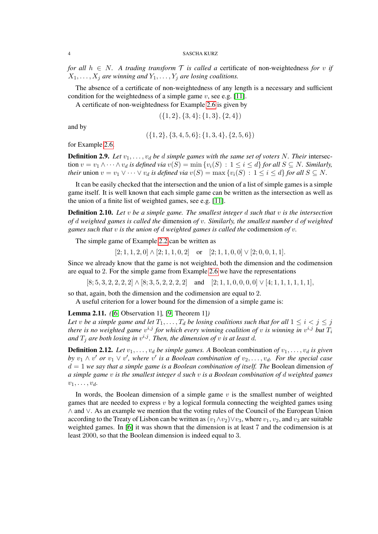*for all*  $h \in N$ . A *trading transform*  $\mathcal T$  *is called a* certificate of non-weightedness *for* v *if*  $X_1, \ldots, X_j$  are winning and  $Y_1, \ldots, Y_j$  are losing coalitions.

The absence of a certificate of non-weightedness of any length is a necessary and sufficient condition for the weightedness of a simple game  $v$ , see e.g. [\[11\]](#page-8-2).

A certificate of non-weightedness for Example [2.6](#page-2-0) is given by

$$
(\{1,2\},\{3,4\};\{1,3\},\{2,4\})
$$

and by

$$
(\{1,2\},\{3,4,5,6\};\{1,3,4\},\{2,5,6\})
$$

for Example [2.6.](#page-2-0)

**Definition 2.9.** Let  $v_1, \ldots, v_d$  be  $d$  simple games with the same set of voters N. Their intersection  $v = v_1 \wedge \cdots \wedge v_d$  *is defined via*  $v(S) = \min \{v_i(S) : 1 \leq i \leq d\}$  *for all*  $S \subseteq N$ *. Similarly, their* union  $v = v_1 \vee \cdots \vee v_d$  *is defined via*  $v(S) = \max \{v_i(S) : 1 \le i \le d\}$  *for all*  $S \subseteq N$ *.* 

It can be easily checked that the intersection and the union of a list of simple games is a simple game itself. It is well known that each simple game can be written as the intersection as well as the union of a finite list of weighted games, see e.g. [\[11\]](#page-8-2).

Definition 2.10. *Let* v *be a simple game. The smallest integer* d *such that* v *is the intersection of* d *weighted games is called the* dimension *of* v*. Similarly, the smallest number* d *of weighted games such that* v *is the union of* d *weighted games is called the* codimension *of* v*.*

The simple game of Example [2.2](#page-1-1) can be written as

 $[2; 1, 1, 2, 0] \wedge [2; 1, 1, 0, 2]$  or  $[2; 1, 1, 0, 0] \vee [2; 0, 0, 1, 1].$ 

Since we already know that the game is not weighted, both the dimension and the codimension are equal to 2. For the simple game from Example [2.6](#page-2-0) we have the representations

 $[8; 5, 3, 2, 2, 2, 2] \wedge [8; 3, 5, 2, 2, 2, 2]$  and  $[2; 1, 1, 0, 0, 0, 0] \vee [4; 1, 1, 1, 1, 1, 1, 1]$ 

so that, again, both the dimension and the codimension are equal to 2.

A useful criterion for a lower bound for the dimension of a simple game is:

<span id="page-3-0"></span>Lemma 2.11. *(*[\[6,](#page-8-4) Observation 1]*,* [\[9,](#page-8-0) Theorem 1]*)*

Let v be a simple game and let  $T_1, \ldots, T_d$  be losing coalitions such that for all  $1 \leq i < j \leq j$ there is no weighted game  $v^{i,j}$  for which every winning coalition of  $v$  is winning in  $v^{i,j}$  but  $T_i$ and  $T_j$  are both losing in  $v^{i,j}$ . Then, the dimension of v is at least d.

**Definition 2.12.** Let  $v_1, \ldots, v_d$  be simple games. A Boolean combination of  $v_1, \ldots, v_d$  is given *by*  $v_1 \wedge v'$  or  $v_1 \vee v'$ , where  $v'$  is a Boolean combination of  $v_2, \ldots, v_d$ . For the special case d = 1 *we say that a simple game is a Boolean combination of itself. The* Boolean dimension *of a simple game* v *is the smallest integer* d *such* v *is a Boolean combination of* d *weighted games*  $v_1, \ldots, v_d$ 

In words, the Boolean dimension of a simple game  $v$  is the smallest number of weighted games that are needed to express  $v$  by a logical formula connecting the weighted games using ∧ and ∨. As an example we mention that the voting rules of the Council of the European Union according to the Treaty of Lisbon can be written as  $(v_1 \wedge v_2) \vee v_3$ , where  $v_1, v_2$ , and  $v_3$  are suitable weighted games. In [\[6\]](#page-8-4) it was shown that the dimension is at least 7 and the codimension is at least 2000, so that the Boolean dimension is indeed equal to 3.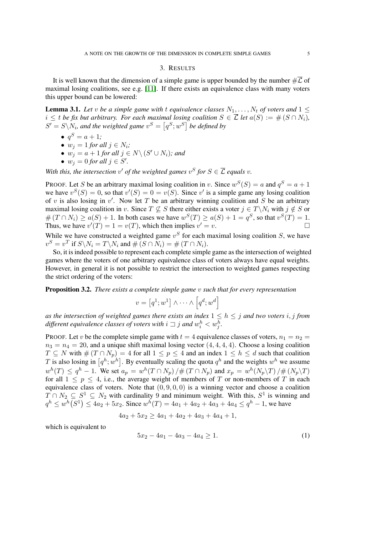# 3. RESULTS

<span id="page-4-0"></span>It is well known that the dimension of a simple game is upper bounded by the number  $\#\overline{\mathcal{L}}$  of maximal losing coalitions, see e.g. [\[11\]](#page-8-2). If there exists an equivalence class with many voters this upper bound can be lowered:

**Lemma 3.1.** Let v be a simple game with t equivalence classes  $N_1, \ldots, N_t$  of voters and  $1 \leq$  $i \leq t$  *be fix but arbitrary. For each maximal losing coalition*  $S \in \overline{\mathcal{L}}$  *let*  $a(S) := \#(S \cap N_i)$ ,  $S' = S \backslash N_i$ , and the weighted game  $v^S = \left[ q^S; w^S \right]$  be defined by

- $q^S = a + 1;$
- $w_j = 1$  *for all*  $j \in N_i$ ;
- $w_j = a + 1$  for all  $j \in N \setminus (S' \cup N_i)$ ; and
- $w_j = 0$  for all  $j \in S'$ .

With this, the intersection v' of the weighted games  $v^S$  for  $S \in \overline{\mathcal{L}}$  equals v.

PROOF. Let S be an arbitrary maximal losing coalition in v. Since  $w^S(S) = a$  and  $q^S = a + 1$ we have  $v^S(S) = 0$ , so that  $v'(S) = 0 = v(S)$ . Since v' is a simple game any losing coalition of v is also losing in  $v'$ . Now let T be an arbitrary winning coalition and S be an arbitrary maximal losing coalition in v. Since  $T \nsubseteq S$  there either exists a voter  $j \in T\backslash N_i$  with  $j \notin S$  or  $\#(T \cap N_i) \ge a(S) + 1$ . In both cases we have  $w^S(T) \ge a(S) + 1 = q^S$ , so that  $v^S(T) = 1$ . Thus, we have  $v'(T) = 1 = v(T)$ , which then implies  $v' = v$ .

While we have constructed a weighted game  $v^S$  for each maximal losing coalition S, we have  $v^S = v^T$  if  $S \backslash N_i = T \backslash N_i$  and  $\#(S \cap N_i) = \#(T \cap N_i)$ .

So, it is indeed possible to represent each complete simple game as the intersection of weighted games where the voters of one arbitrary equivalence class of voters always have equal weights. However, in general it is not possible to restrict the intersection to weighted games respecting the strict ordering of the voters:

<span id="page-4-2"></span>Proposition 3.2. *There exists a complete simple game* v *such that for every representation*

$$
v = [q^1; w^1] \wedge \cdots \wedge [q^d; w^d]
$$

*as the intersection of weighted games there exists an index*  $1 \leq h \leq j$  *and two voters i, j from* different equivalence classes of voters with  $i\sqsupset j$  and  $w_i^h < w_j^h.$ 

PROOF. Let v be the complete simple game with  $t = 4$  equivalence classes of voters,  $n_1 = n_2$  $n_3 = n_4 = 20$ , and a unique shift maximal losing vector  $(4, 4, 4, 4)$ . Choose a losing coalition  $T \subseteq N$  with  $\#(T \cap N_p) = 4$  for all  $1 \leq p \leq 4$  and an index  $1 \leq h \leq d$  such that coalition T is also losing in  $[q^h; w^h]$ . By eventually scaling the quota  $q^h$  and the weights  $w^h$  we assume  $w^{h}(T) \leq q^{h} - 1$ . We set  $a_p = w^{h}(T \cap N_p) / \#(T \cap N_p)$  and  $x_p = w^{h}(N_p \backslash T) / \#(N_p \backslash T)$ for all  $1 \leq p \leq 4$ , i.e., the average weight of members of T or non-members of T in each equivalence class of voters. Note that  $(0, 9, 0, 0)$  is a winning vector and choose a coalition  $T \cap N_2 \subseteq S^1 \subseteq N_2$  with cardinality 9 and minimum weight. With this,  $S^1$  is winning and  $q^h \leq w^h(S^1) \leq 4a_2 + 5x_2$ . Since  $w^h(T) = 4a_1 + 4a_2 + 4a_3 + 4a_4 \leq q^h - 1$ , we have

$$
4a_2 + 5x_2 \ge 4a_1 + 4a_2 + 4a_3 + 4a_4 + 1,
$$

which is equivalent to

<span id="page-4-1"></span>
$$
5x_2 - 4a_1 - 4a_3 - 4a_4 \ge 1. \tag{1}
$$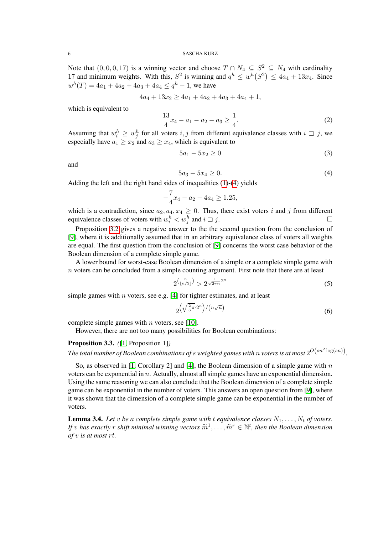#### 6 SASCHA KURZ

Note that  $(0, 0, 0, 17)$  is a winning vector and choose  $T \cap N_4 \subseteq S^2 \subseteq N_4$  with cardinality 17 and minimum weights. With this,  $S^2$  is winning and  $q^h \n\leq w^h(S^2) \leq 4a_4 + 13x_4$ . Since  $w^{h}(T) = 4a_1 + 4a_2 + 4a_3 + 4a_4 \leq q^{h} - 1$ , we have

$$
4a_4 + 13x_2 \ge 4a_1 + 4a_2 + 4a_3 + 4a_4 + 1,
$$

which is equivalent to

$$
\frac{13}{4}x_4 - a_1 - a_2 - a_3 \ge \frac{1}{4}.\tag{2}
$$

Assuming that  $w_i^h \geq w_j^h$  for all voters  $i, j$  from different equivalence classes with  $i \supset j$ , we especially have  $a_1 \geq x_2$  and  $a_3 \geq x_4$ , which is equivalent to

$$
5a_1 - 5x_2 \ge 0 \tag{3}
$$

and

<span id="page-5-0"></span>
$$
5a_3 - 5x_4 \ge 0. \tag{4}
$$

Adding the left and the right hand sides of inequalities [\(1\)](#page-4-1)-[\(4\)](#page-5-0) yields

$$
-\frac{7}{4}x_4 - a_2 - 4a_4 \ge 1.25,
$$

which is a contradiction, since  $a_2, a_4, x_4 \geq 0$ . Thus, there exist voters i and j from different equivalence classes of voters with  $w_i^h < w_j^h$  and  $i \sqsupset j$ .

Proposition [3.2](#page-4-2) gives a negative answer to the the second question from the conclusion of [\[9\]](#page-8-0), where it is additionally assumed that in an arbitrary equivalence class of voters all weights are equal. The first question from the conclusion of [\[9\]](#page-8-0) concerns the worst case behavior of the Boolean dimension of a complete simple game.

A lower bound for worst-case Boolean dimension of a simple or a complete simple game with  $n$  voters can be concluded from a simple counting argument. First note that there are at least

$$
2^{\binom{n}{\lfloor n/2 \rfloor}} > 2^{\frac{1}{\sqrt{2\pi n}} 2^n} \tag{5}
$$

simple games with  $n$  voters, see e.g. [\[4\]](#page-8-1) for tighter estimates, and at least

$$
2^{\left(\sqrt{\frac{2}{3}\pi}\cdot 2^n\right)/(n\sqrt{n})}\tag{6}
$$

complete simple games with  $n$  voters, see [\[10\]](#page-8-5).

However, there are not too many possibilities for Boolean combinations:

# Proposition 3.3. *(*[\[1,](#page-8-3) Proposition 1]*)*

The total number of Boolean combinations of  $s$  weighted games with  $n$  voters is at most  $2^{O\left(sn^2\log(sn)\right)}$ .

So, as observed in [\[1,](#page-8-3) Corollary 2] and [\[4\]](#page-8-1), the Boolean dimension of a simple game with  $n$ voters can be exponential in  $n$ . Actually, almost all simple games have an exponential dimension. Using the same reasoning we can also conclude that the Boolean dimension of a complete simple game can be exponential in the number of voters. This answers an open question from [\[9\]](#page-8-0), where it was shown that the dimension of a complete simple game can be exponential in the number of voters.

<span id="page-5-1"></span>**Lemma 3.4.** Let *v* be a complete simple game with t equivalence classes  $N_1, \ldots, N_t$  of voters. *If* v has exactly r shift minimal winning vectors  $\widetilde{m}^1, \ldots, \widetilde{m}^r \in \mathbb{N}^t$ , then the Boolean dimension of v is at most rt *of* v *is at most* rt*.*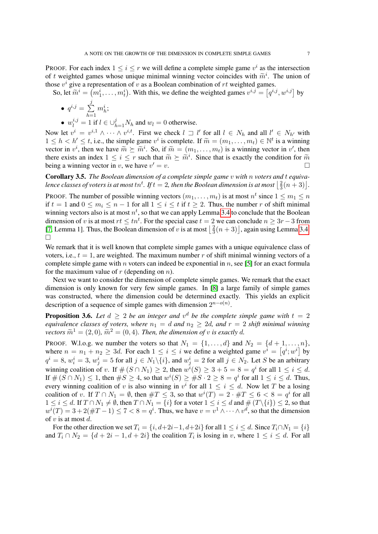PROOF. For each index  $1 \le i \le r$  we will define a complete simple game  $v^i$  as the intersection of t weighted games whose unique minimal winning vector coincides with  $\tilde{m}^i$ . The union of<br>those  $v^i$  give a representation of  $v$  as a Boolean combination of xt weighted games those  $v^i$  give a representation of v as a Boolean combination of rt weighted games.

So, let  $\widetilde{m}^i = (m_1^i, \dots, m_t^i)$ . With this, we define the weighted games  $v^{i,j} = [q^{i,j}, w^{i,j}]$  by

$$
\bullet \ \ q^{i,j}=\sum_{h=1}^j m_h^i;
$$

•  $w_l^{i,j} = 1$  if  $l \in \bigcup_{h=1}^j N_h$  and  $w_l = 0$  otherwise.

Now let  $v^i = v^{i,1} \wedge \cdots \wedge v^{i,t}$ . First we check  $l \supset l'$  for all  $l \in N_h$  and all  $l' \in N_{h'}$  with  $1 \leq h < h' \leq t$ , i.e., the simple game  $v^i$  is complete. If  $\widetilde{m} = (m_1, \ldots, m_t) \in \mathbb{N}^t$  is a winning<br>vector in  $v^i$ , then we have  $\widetilde{m} \succ \widetilde{m}^i$ . So, if  $\widetilde{m} = (m_1, \ldots, m_t)$  is a winning vector in  $v'$ , then vector in  $v^i$ , then we have  $\widetilde{m} \succeq \widetilde{m}^i$ . So, if  $\widetilde{m} = (m_1, \ldots, m_t)$  is a winning vector in  $v'$ , then<br>there exists an index  $1 \le i \le r$  such that  $\widetilde{m} \succeq \widetilde{m}^i$ . Since that is exactly the condition there exists an index  $1 \leq i \leq r$  such that  $\widetilde{m} \succeq \widetilde{m}^i$ . Since that is exactly the condition for  $\widetilde{m}$  being a winning vector in z, we have  $v' = v$ . being a winning vector in v, we have  $v' = v$ .  $v = v.$ 

Corollary 3.5. *The Boolean dimension of a complete simple game* v *with* n *voters and* t *equiva*lence classes of voters is at most  $tn^t$ . If  $t = 2$ , then the Boolean dimension is at most  $\frac{2}{3}$  $\frac{2}{3}(n+3)$ .

PROOF. The number of possible winning vectors  $(m_1, \ldots, m_t)$  is at most  $n^t$  since  $1 \le m_1 \le n$ if  $t = 1$  and  $0 \le m_i \le n - 1$  for all  $1 \le i \le t$  if  $t \ge 2$ . Thus, the number r of shift minimal winning vectors also is at most  $n^t$ , so that we can apply Lemma [3.4](#page-5-1) to conclude that the Boolean dimension of v is at most  $rt \leq tn^t$ . For the special case  $t = 2$  we can conclude  $n \geq 3r - 3$  from [\[7,](#page-8-6) Lemma 1]. Thus, the Boolean dimension of v is at most  $\frac{3}{3}$  $\frac{2}{3}(n+3)$ , again using Lemma [3.4.](#page-5-1)  $\Box$ 

We remark that it is well known that complete simple games with a unique equivalence class of voters, i.e.,  $t = 1$ , are weighted. The maximum number r of shift minimal winning vectors of a complete simple game with n voters can indeed be exponential in  $n$ , see [\[5\]](#page-8-7) for an exact formula for the maximum value of  $r$  (depending on  $n$ ).

Next we want to consider the dimension of complete simple games. We remark that the exact dimension is only known for very few simple games. In [\[8\]](#page-8-8) a large family of simple games was constructed, where the dimension could be determined exactly. This yields an explicit description of a sequence of simple games with dimension  $2^{n-o(n)}$ .

<span id="page-6-0"></span>**Proposition 3.6.** Let  $d \geq 2$  be an integer and  $v^d$  be the complete simple game with  $t = 2$ *equivalence classes of voters, where*  $n_1 = d$  *and*  $n_2 \geq 2d$ *, and*  $r = 2$  *shift minimal winning vectors*  $\widetilde{m}^1 = (2, 0)$ *,*  $\widetilde{m}^2 = (0, 4)$ *. Then, the dimension of v is exactly d.* 

PROOF. W.l.o.g. we number the voters so that  $N_1 = \{1, \ldots, d\}$  and  $N_2 = \{d+1, \ldots, n\}$ , where  $n = n_1 + n_2 \geq 3d$ . For each  $1 \leq i \leq i$  we define a weighted game  $v^i = [q^i; w^i]$  by  $q^i = 8$ ,  $w_i^i = 3$ ,  $w_j^i = 5$  for all  $j \in N_1 \setminus \{i\}$ , and  $w_j^i = 2$  for all  $j \in N_2$ . Let S be an arbitrary winning coalition of v. If  $\#(S \cap N_1) \geq 2$ , then  $w^i(S) \geq 3 + 5 = 8 = q^i$  for all  $1 \leq i \leq d$ . If  $\#(S \cap N_1) \leq 1$ , then  $\#S \geq 4$ , so that  $w^i(S) \geq \#S \cdot 2 \geq 8 = q^i$  for all  $1 \leq i \leq d$ . Thus, every winning coalition of v is also winning in  $v^i$  for all  $1 \leq i \leq d$ . Now let T be a losing coalition of v. If  $T \cap N_1 = \emptyset$ , then  $\#T \leq 3$ , so that  $w^i(T) = 2 \cdot \#T \leq 6 < 8 = q^i$  for all  $1 \leq i \leq d$ . If  $T \cap N_1 \neq \emptyset$ , then  $T \cap N_1 = \{i\}$  for a voter  $1 \leq i \leq d$  and  $\#(T \setminus \{i\}) \leq 2$ , so that  $w^{i}(T) = 3 + 2(\#T - 1) \le 7 < 8 = q^{i}$ . Thus, we have  $v = v^{1} \wedge \cdots \wedge v^{d}$ , so that the dimension of  $v$  is at most  $d$ .

For the other direction we set  $T_i = \{i, d+2i-1, d+2i\}$  for all  $1 \le i \le d$ . Since  $T_i \cap N_1 = \{i\}$ and  $T_i \cap N_2 = \{d + 2i - 1, d + 2i\}$  the coalition  $T_i$  is losing in v, where  $1 \leq i \leq d$ . For all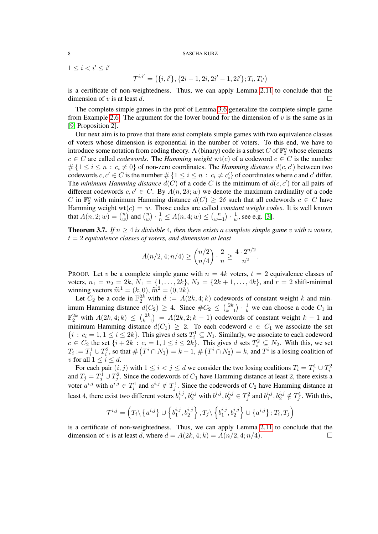#### 8 SASCHA KURZ

 $1 \leq i < i' \leq i'$ 

$$
\mathcal{T}^{i,i'} = (\{i,i'\}, \{2i-1, 2i, 2i'-1, 2i'\}; T_i, T_{i'})
$$

is a certificate of non-weightedness. Thus, we can apply Lemma [2.11](#page-3-0) to conclude that the dimension of v is at least d.

The complete simple games in the prof of Lemma [3.6](#page-6-0) generalize the complete simple game from Example [2.6.](#page-2-0) The argument for the lower bound for the dimension of  $v$  is the same as in [\[9,](#page-8-0) Proposition 2].

Our next aim is to prove that there exist complete simple games with two equivalence classes of voters whose dimension is exponential in the number of voters. To this end, we have to introduce some notation from coding theory. A (binary) code is a subset C of  $\mathbb{F}_2^n$  whose elements  $c \in C$  are called *codewords*. The *Hamming weight* wt(c) of a codeword  $c \in C$  is the number  $\#\{1 \leq i \leq n : c_i \neq 0\}$  of non-zero coordinates. The *Hamming distance*  $d(c, c')$  between two codewords  $c, c' \in C$  is the number  $\#\{1 \leq i \leq n : c_i \neq c'_i\}$  of coordinates where c and c' differ. The *minimum Hamming distance*  $d(C)$  of a code C is the minimum of  $d(c, c')$  for all pairs of different codewords  $c, c' \in C$ . By  $A(n, 2\delta; w)$  we denote the maximum cardinality of a code C in  $\mathbb{F}_2^n$  with minimum Hamming distance  $d(C) \geq 2\delta$  such that all codewords  $c \in C$  have Hamming weight  $wt(c) = w$ . Those codes are called *constant weight codes*. It is well known that  $A(n, 2; w) = {n \choose w}$  $\binom{n}{w}$  and  $\binom{n}{w}$  $\binom{n}{w} \cdot \frac{1}{n} \leq A(n, 4; w) \leq \binom{n}{w}$  $\binom{n}{w-1} \cdot \frac{1}{u}$  $\frac{1}{w}$ , see e.g. [\[3\]](#page-8-9).

<span id="page-7-0"></span>**Theorem 3.7.** *If*  $n \geq 4$  *is divisible* 4*, then there exists a complete simple game* v *with n* voters, t = 2 *equivalence classes of voters, and dimension at least*

$$
A(n/2, 4; n/4) \ge \binom{n/2}{n/4} \cdot \frac{2}{n} \ge \frac{4 \cdot 2^{n/2}}{n^2}.
$$

PROOF. Let v be a complete simple game with  $n = 4k$  voters,  $t = 2$  equivalence classes of voters,  $n_1 = n_2 = 2k$ ,  $N_1 = \{1, ..., 2k\}$ ,  $N_2 = \{2k + 1, ..., 4k\}$ , and  $r = 2$  shift-minimal winning vectors  $\widetilde{m}^1 = (k, 0), \widetilde{m}^2 = (0, 2k).$ <br>Let C, be a code in  $\mathbb{F}^{2k}$  with  $d := A(2)$ 

Let  $C_2$  be a code in  $\mathbb{F}_2^{2k}$  with  $d := A(2k, 4; k)$  codewords of constant weight k and minimum Hamming distance  $d(C_2) \geq 4$ . Since  $\#C_2 \leq {2k \choose k-1}$  $\binom{2k}{k-1} \cdot \frac{1}{k}$  we can choose a code  $C_1$  in  $\mathbb{F}_2^{2k}$  with  $A(2k,4;k) \leq {2k \choose k-1}$  $\binom{2k}{k-1} = A(2k, 2; k-1)$  codewords of constant weight  $k-1$  and minimum Hamming distance  $d(C_1) \geq 2$ . To each codeword  $c \in C_1$  we associate the set  $\{i : c_i = 1, 1 \le i \le 2k\}$ . This gives d sets  $T_i^1 \subseteq N_1$ . Similarly, we associate to each codeword  $c \in C_2$  the set  $\{i+2k : c_i = 1, 1 \le i \le 2k\}$ . This gives d sets  $T_i^2 \subseteq N_2$ . With this, we set  $T_i := T_i^1 \cup T_i^2$ , so that  $\# \left( T^i \cap N_1 \right) = k - 1$ ,  $\# \left( T^i \cap N_2 \right) = k$ , and  $T^i$  is a losing coalition of v for all  $1 \leq i \leq d$ .

For each pair  $(i, j)$  with  $1 \le i < j \le d$  we consider the two losing coalitions  $T_i = T_i^1 \cup T_i^2$ and  $T_j = T_j^1 \cup T_j^2$ . Since the codewords of  $C_1$  have Hamming distance at least 2, there exists a voter  $a^{i,j}$  with  $a^{i,j} \in T_i^1$  and  $a^{i,j} \notin T_j^1$ . Since the codewords of  $C_2$  have Hamming distance at least 4, there exist two different voters  $b_1^{i,j}$  $i_1^{i,j}$ ,  $b_2^{i,j}$  with  $b_1^{i,j}$  $j_1^{i,j}, b_2^{i,j} \in T_j^2$  and  $b_1^{i,j}$  $j_1^{i,j}, b_2^{i,j} \notin T_j^1$ . With this,

$$
\mathcal{T}^{i,j} = \left(T_i \setminus \left\{a^{i,j}\right\} \cup \left\{b_1^{i,j}, b_2^{i,j}\right\}, T_j \setminus \left\{b_1^{i,j}, b_2^{i,j}\right\} \cup \left\{a^{i,j}\right\}, T_i, T_j\right)
$$

is a certificate of non-weightedness. Thus, we can apply Lemma [2.11](#page-3-0) to conclude that the dimension of v is at least d, where  $d = A(2k, 4; k) = A(n/2, 4; n/4)$ .